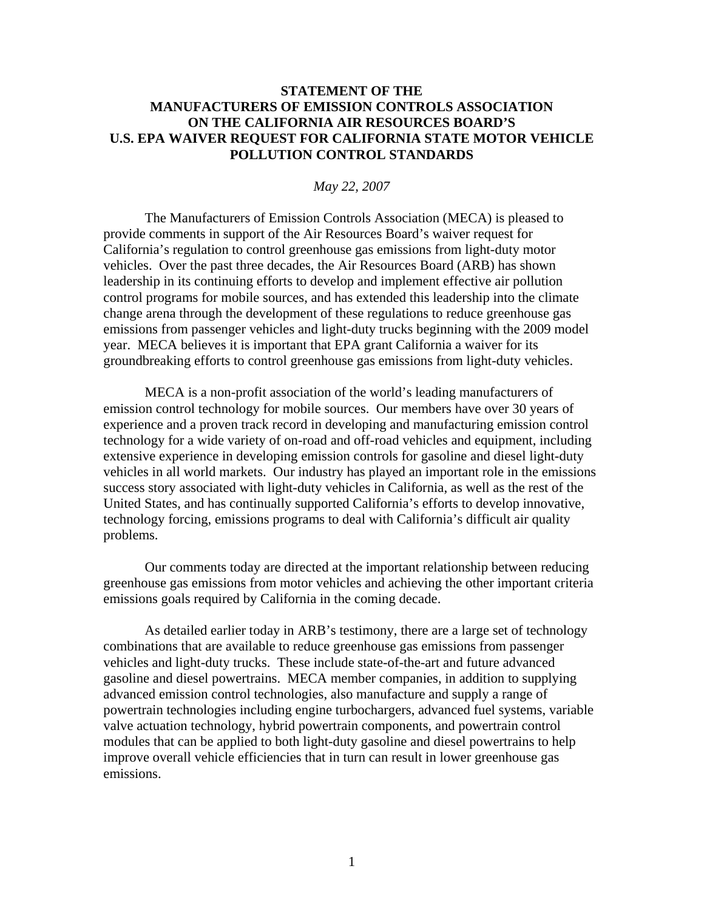## **STATEMENT OF THE MANUFACTURERS OF EMISSION CONTROLS ASSOCIATION ON THE CALIFORNIA AIR RESOURCES BOARD'S U.S. EPA WAIVER REQUEST FOR CALIFORNIA STATE MOTOR VEHICLE POLLUTION CONTROL STANDARDS**

## *May 22, 2007*

The Manufacturers of Emission Controls Association (MECA) is pleased to provide comments in support of the Air Resources Board's waiver request for California's regulation to control greenhouse gas emissions from light-duty motor vehicles. Over the past three decades, the Air Resources Board (ARB) has shown leadership in its continuing efforts to develop and implement effective air pollution control programs for mobile sources, and has extended this leadership into the climate change arena through the development of these regulations to reduce greenhouse gas emissions from passenger vehicles and light-duty trucks beginning with the 2009 model year. MECA believes it is important that EPA grant California a waiver for its groundbreaking efforts to control greenhouse gas emissions from light-duty vehicles.

MECA is a non-profit association of the world's leading manufacturers of emission control technology for mobile sources. Our members have over 30 years of experience and a proven track record in developing and manufacturing emission control technology for a wide variety of on-road and off-road vehicles and equipment, including extensive experience in developing emission controls for gasoline and diesel light-duty vehicles in all world markets. Our industry has played an important role in the emissions success story associated with light-duty vehicles in California, as well as the rest of the United States, and has continually supported California's efforts to develop innovative, technology forcing, emissions programs to deal with California's difficult air quality problems.

 Our comments today are directed at the important relationship between reducing greenhouse gas emissions from motor vehicles and achieving the other important criteria emissions goals required by California in the coming decade.

 As detailed earlier today in ARB's testimony, there are a large set of technology combinations that are available to reduce greenhouse gas emissions from passenger vehicles and light-duty trucks. These include state-of-the-art and future advanced gasoline and diesel powertrains. MECA member companies, in addition to supplying advanced emission control technologies, also manufacture and supply a range of powertrain technologies including engine turbochargers, advanced fuel systems, variable valve actuation technology, hybrid powertrain components, and powertrain control modules that can be applied to both light-duty gasoline and diesel powertrains to help improve overall vehicle efficiencies that in turn can result in lower greenhouse gas emissions.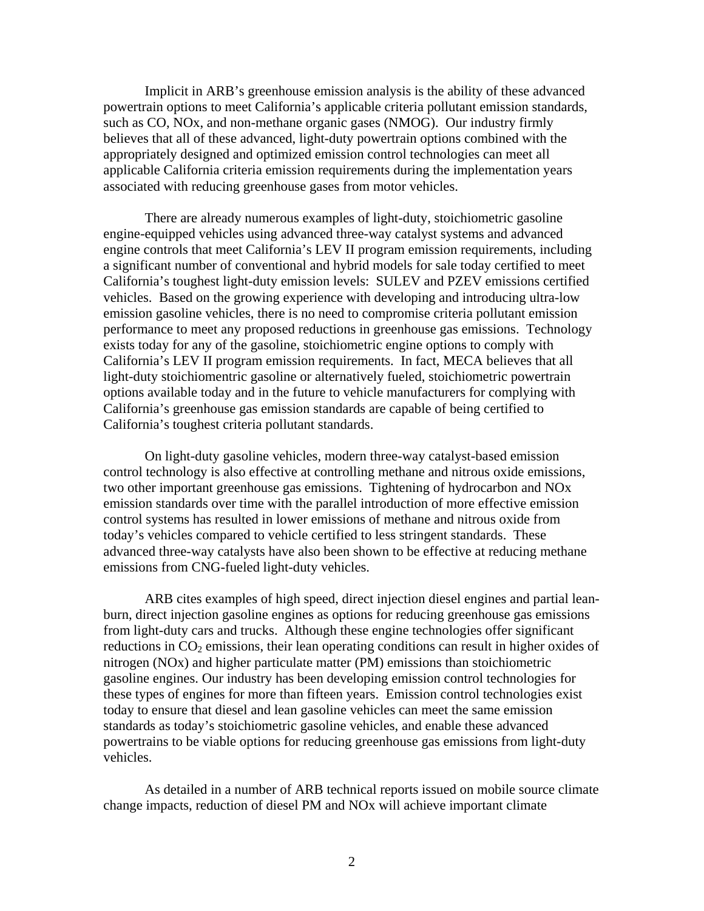Implicit in ARB's greenhouse emission analysis is the ability of these advanced powertrain options to meet California's applicable criteria pollutant emission standards, such as CO, NOx, and non-methane organic gases (NMOG). Our industry firmly believes that all of these advanced, light-duty powertrain options combined with the appropriately designed and optimized emission control technologies can meet all applicable California criteria emission requirements during the implementation years associated with reducing greenhouse gases from motor vehicles.

 There are already numerous examples of light-duty, stoichiometric gasoline engine-equipped vehicles using advanced three-way catalyst systems and advanced engine controls that meet California's LEV II program emission requirements, including a significant number of conventional and hybrid models for sale today certified to meet California's toughest light-duty emission levels: SULEV and PZEV emissions certified vehicles. Based on the growing experience with developing and introducing ultra-low emission gasoline vehicles, there is no need to compromise criteria pollutant emission performance to meet any proposed reductions in greenhouse gas emissions. Technology exists today for any of the gasoline, stoichiometric engine options to comply with California's LEV II program emission requirements. In fact, MECA believes that all light-duty stoichiomentric gasoline or alternatively fueled, stoichiometric powertrain options available today and in the future to vehicle manufacturers for complying with California's greenhouse gas emission standards are capable of being certified to California's toughest criteria pollutant standards.

 On light-duty gasoline vehicles, modern three-way catalyst-based emission control technology is also effective at controlling methane and nitrous oxide emissions, two other important greenhouse gas emissions. Tightening of hydrocarbon and NOx emission standards over time with the parallel introduction of more effective emission control systems has resulted in lower emissions of methane and nitrous oxide from today's vehicles compared to vehicle certified to less stringent standards. These advanced three-way catalysts have also been shown to be effective at reducing methane emissions from CNG-fueled light-duty vehicles.

 ARB cites examples of high speed, direct injection diesel engines and partial leanburn, direct injection gasoline engines as options for reducing greenhouse gas emissions from light-duty cars and trucks. Although these engine technologies offer significant reductions in  $CO<sub>2</sub>$  emissions, their lean operating conditions can result in higher oxides of nitrogen (NOx) and higher particulate matter (PM) emissions than stoichiometric gasoline engines. Our industry has been developing emission control technologies for these types of engines for more than fifteen years. Emission control technologies exist today to ensure that diesel and lean gasoline vehicles can meet the same emission standards as today's stoichiometric gasoline vehicles, and enable these advanced powertrains to be viable options for reducing greenhouse gas emissions from light-duty vehicles.

 As detailed in a number of ARB technical reports issued on mobile source climate change impacts, reduction of diesel PM and NOx will achieve important climate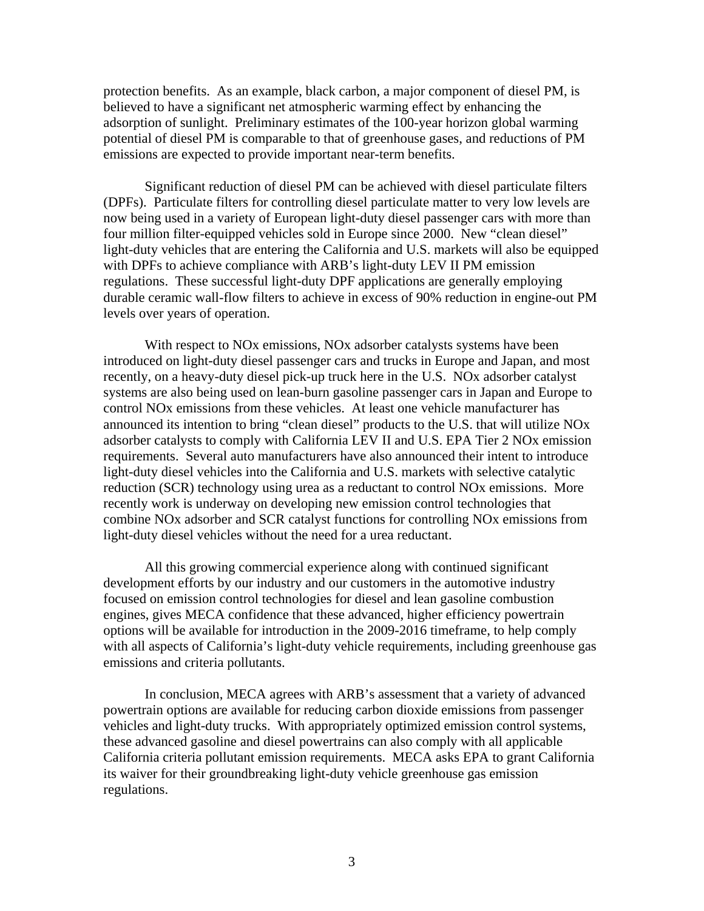protection benefits. As an example, black carbon, a major component of diesel PM, is believed to have a significant net atmospheric warming effect by enhancing the adsorption of sunlight. Preliminary estimates of the 100-year horizon global warming potential of diesel PM is comparable to that of greenhouse gases, and reductions of PM emissions are expected to provide important near-term benefits.

 Significant reduction of diesel PM can be achieved with diesel particulate filters (DPFs). Particulate filters for controlling diesel particulate matter to very low levels are now being used in a variety of European light-duty diesel passenger cars with more than four million filter-equipped vehicles sold in Europe since 2000. New "clean diesel" light-duty vehicles that are entering the California and U.S. markets will also be equipped with DPFs to achieve compliance with ARB's light-duty LEV II PM emission regulations. These successful light-duty DPF applications are generally employing durable ceramic wall-flow filters to achieve in excess of 90% reduction in engine-out PM levels over years of operation.

 With respect to NOx emissions, NOx adsorber catalysts systems have been introduced on light-duty diesel passenger cars and trucks in Europe and Japan, and most recently, on a heavy-duty diesel pick-up truck here in the U.S. NOx adsorber catalyst systems are also being used on lean-burn gasoline passenger cars in Japan and Europe to control NOx emissions from these vehicles. At least one vehicle manufacturer has announced its intention to bring "clean diesel" products to the U.S. that will utilize NOx adsorber catalysts to comply with California LEV II and U.S. EPA Tier 2 NOx emission requirements. Several auto manufacturers have also announced their intent to introduce light-duty diesel vehicles into the California and U.S. markets with selective catalytic reduction (SCR) technology using urea as a reductant to control NOx emissions. More recently work is underway on developing new emission control technologies that combine NOx adsorber and SCR catalyst functions for controlling NOx emissions from light-duty diesel vehicles without the need for a urea reductant.

 All this growing commercial experience along with continued significant development efforts by our industry and our customers in the automotive industry focused on emission control technologies for diesel and lean gasoline combustion engines, gives MECA confidence that these advanced, higher efficiency powertrain options will be available for introduction in the 2009-2016 timeframe, to help comply with all aspects of California's light-duty vehicle requirements, including greenhouse gas emissions and criteria pollutants.

 In conclusion, MECA agrees with ARB's assessment that a variety of advanced powertrain options are available for reducing carbon dioxide emissions from passenger vehicles and light-duty trucks. With appropriately optimized emission control systems, these advanced gasoline and diesel powertrains can also comply with all applicable California criteria pollutant emission requirements. MECA asks EPA to grant California its waiver for their groundbreaking light-duty vehicle greenhouse gas emission regulations.